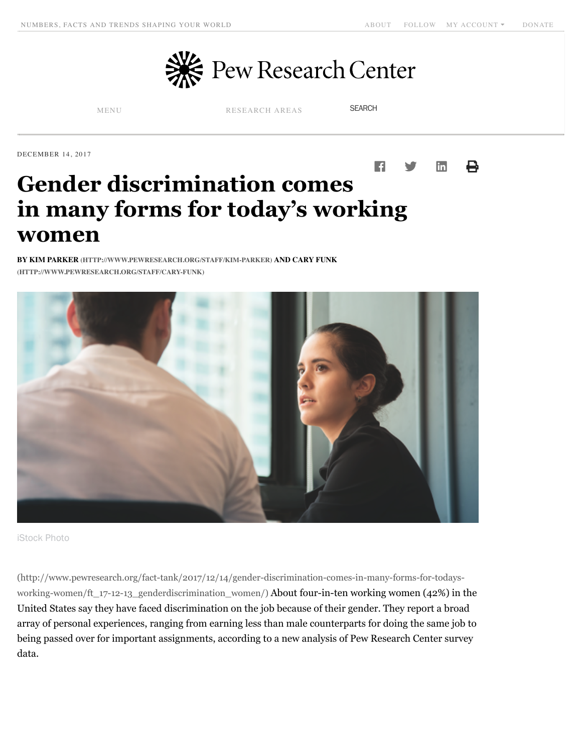

[MENU](javascript:void(0)) [RESEARCH AREAS](javascript:void(0))

**SEARCH** 

DECEMBER 14, 2017



# **Gender discrimination comes in many forms for today's working women**

**[BY K](http://www.pewresearch.org/staff/cary-funk)[IM PARKER \(HTTP://WWW.PEWRESEARCH.ORG/STAFF/KIM-PARKER\)](http://www.pewresearch.org/staff/kim-parker) [AND CARY FUNK](http://www.pewresearch.org/staff/cary-funk) (HTTP://WWW.PEWRESEARCH.ORG/STAFF/CARY-FUNK)**



iStock Photo

(http://www.pewresearch.org/fact-tank/2017/12/14/gender-discrimination-comes-in-many-forms-for-todays[working-women/ft\\_17-12-13\\_genderdiscrimination\\_women/\) About four-in-ten working women \(42%\) in the](http://www.pewresearch.org/fact-tank/2017/12/14/gender-discrimination-comes-in-many-forms-for-todays-working-women/ft_17-12-13_genderdiscrimination_women/) United States say they have faced discrimination on the job because of their gender. They report a broad array of personal experiences, ranging from earning less than male counterparts for doing the same job to being passed over for important assignments, according to a new analysis of Pew Research Center survey data.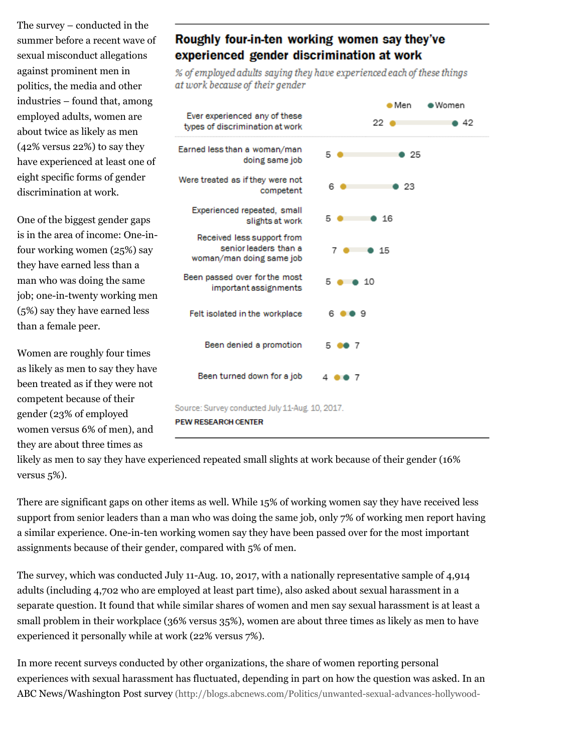The survey – conducted in the summer before a recent wave of sexual misconduct allegations against prominent men in politics, the media and other industries – found that, among employed adults, women are about twice as likely as men (42% versus 22%) to say they have experienced at least one of eight specific forms of gender discrimination at work.

One of the biggest gender gaps is in the area of income: One-infour working women (25%) say they have earned less than a man who was doing the same job; one-in-twenty working men (5%) say they have earned less than a female peer.

Women are roughly four times as likely as men to say they have been treated as if they were not competent because of their gender (23% of employed women versus 6% of men), and they are about three times as

# Roughly four-in-ten working women say they've experienced gender discrimination at work

% of employed adults saying they have experienced each of these things at work because of their gender



likely as men to say they have experienced repeated small slights at work because of their gender (16% versus 5%).

There are significant gaps on other items as well. While 15% of working women say they have received less support from senior leaders than a man who was doing the same job, only 7% of working men report having a similar experience. One-in-ten working women say they have been passed over for the most important assignments because of their gender, compared with 5% of men.

The survey, which was conducted July 11-Aug. 10, 2017, with a nationally representative sample of 4,914 adults (including 4,702 who are employed at least part time), also asked about sexual harassment in a separate question. It found that while similar shares of women and men say sexual harassment is at least a small problem in their workplace (36% versus 35%), women are about three times as likely as men to have experienced it personally while at work (22% versus 7%).

In more recent surveys conducted by other organizations, the share of women reporting personal experiences with sexual harassment has fluctuated, depending in part on how the question was asked. In an [ABC News/Washington Post survey \(http://blogs.abcnews.com/Politics/unwanted-sexual-advances-hollywood-](http://blogs.abcnews.com/Politics/unwanted-sexual-advances-hollywood-weinstein-story-poll/story?id=50521721)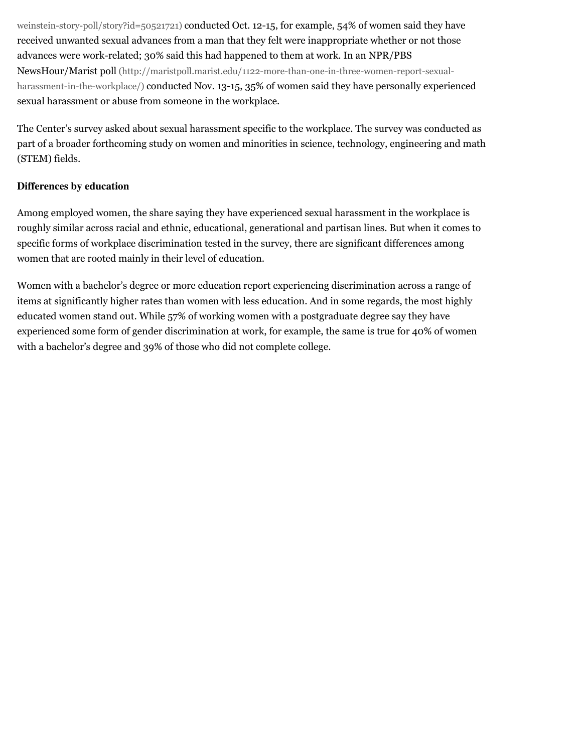[weinstein-story-poll/story?id=50521721\) conducted Oct. 12-15, for example, 54% of women said they have](http://blogs.abcnews.com/Politics/unwanted-sexual-advances-hollywood-weinstein-story-poll/story?id=50521721) received unwanted sexual advances from a man that they felt were inappropriate whether or not those advances were work-related; 30% said this had happened to them at work. In an NPR/PBS [NewsHour/Marist poll \(http://maristpoll.marist.edu/1122-more-than-one-in-three-women-report-sexual](http://maristpoll.marist.edu/1122-more-than-one-in-three-women-report-sexual-harassment-in-the-workplace/)harassment-in-the-workplace/) conducted Nov. 13-15, 35% of women said they have personally experienced sexual harassment or abuse from someone in the workplace.

The Center's survey asked about sexual harassment specific to the workplace. The survey was conducted as part of a broader forthcoming study on women and minorities in science, technology, engineering and math (STEM) fields.

## **Differences by education**

Among employed women, the share saying they have experienced sexual harassment in the workplace is roughly similar across racial and ethnic, educational, generational and partisan lines. But when it comes to specific forms of workplace discrimination tested in the survey, there are significant differences among women that are rooted mainly in their level of education.

Women with a bachelor's degree or more education report experiencing discrimination across a range of items at significantly higher rates than women with less education. And in some regards, the most highly educated women stand out. While 57% of working women with a postgraduate degree say they have experienced some form of gender discrimination at work, for example, the same is true for 40% of women with a bachelor's degree and 39% of those who did not complete college.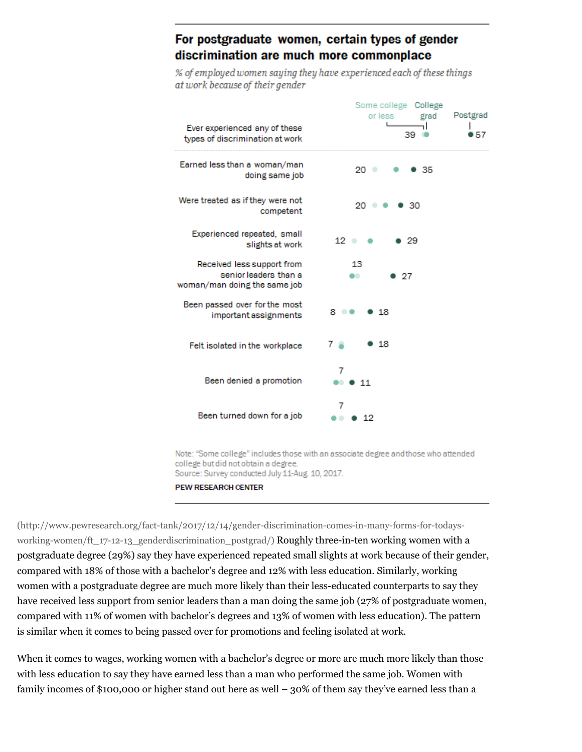## For postgraduate women, certain types of gender discrimination are much more commonplace

% of employed women saying they have experienced each of these things at work because of their gender

| Ever experienced any of these<br>types of discrimination at work                    | Some college College<br>Postgrad<br>or less<br>grad<br>39<br>57 |
|-------------------------------------------------------------------------------------|-----------------------------------------------------------------|
| Earned less than a woman/man<br>doing same job                                      | 20 ⊜<br>-35                                                     |
| Were treated as if they were not<br>competent                                       | 20<br>-30                                                       |
| Experienced repeated, small<br>slights at work                                      | $12$ $\circ$<br>-29                                             |
| Received less support from<br>senior leaders than a<br>woman/man doing the same job | 13<br>27                                                        |
| Been passed over for the most<br>important assignments                              | 8.<br>18                                                        |
| Felt isolated in the workplace                                                      | 18<br>7 а                                                       |
| Been denied a promotion                                                             | 7<br>11                                                         |
| Been turned down for a job                                                          | 7<br>12                                                         |

Note: "Some college" includes those with an associate degree and those who attended college but did not obtain a degree. Source: Survey conducted July 11-Aug. 10, 2017.

PEW RESEARCH CENTER

(http://www.pewresearch.org/fact-tank/2017/12/14/gender-discrimination-comes-in-many-forms-for-todays[working-women/ft\\_17-12-13\\_genderdiscrimination\\_postgrad/\) Roughly three-in-ten working women with a](http://www.pewresearch.org/fact-tank/2017/12/14/gender-discrimination-comes-in-many-forms-for-todays-working-women/ft_17-12-13_genderdiscrimination_postgrad/) postgraduate degree (29%) say they have experienced repeated small slights at work because of their gender, compared with 18% of those with a bachelor's degree and 12% with less education. Similarly, working women with a postgraduate degree are much more likely than their less-educated counterparts to say they have received less support from senior leaders than a man doing the same job (27% of postgraduate women, compared with 11% of women with bachelor's degrees and 13% of women with less education). The pattern is similar when it comes to being passed over for promotions and feeling isolated at work.

When it comes to wages, working women with a bachelor's degree or more are much more likely than those with less education to say they have earned less than a man who performed the same job. Women with family incomes of \$100,000 or higher stand out here as well – 30% of them say they've earned less than a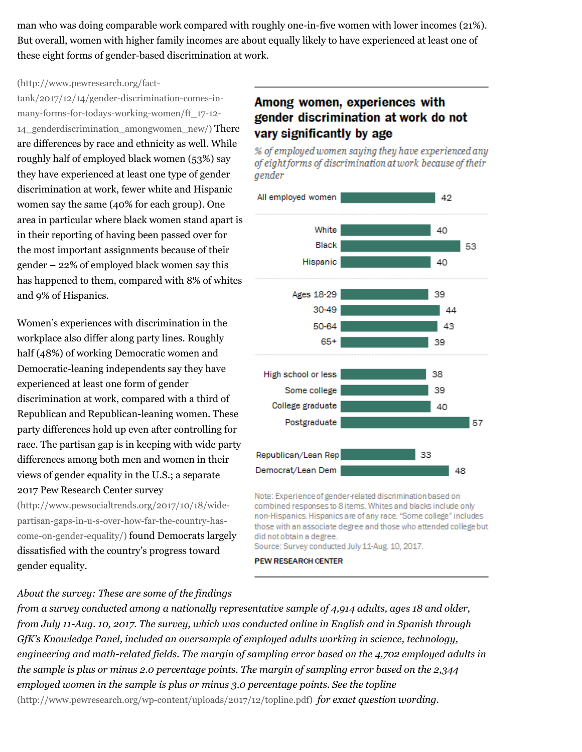man who was doing comparable work compared with roughly one-in-five women with lower incomes (21%). But overall, women with higher family incomes are about equally likely to have experienced at least one of these eight forms of gender-based discrimination at work.

#### (http://www.pewresearch.org/fact-

tank/2017/12/14/gender-discrimination-comes-inmany-forms-for-todays-working-women/ft\_17-12- 14 genderdiscrimination amongwomen new/) There are differences by race and ethnicity as well. While roughly half of employed black women (53%) say they have experienced at least one type of gender discrimination at work, fewer white and Hispanic women say the same (40% for each group). One [area in particular where black women stand apart is](http://www.pewresearch.org/fact-tank/2017/12/14/gender-discrimination-comes-in-many-forms-for-todays-working-women/ft_17-12-14_genderdiscrimination_amongwomen_new/) in their reporting of having been passed over for the most important assignments because of their gender – 22% of employed black women say this has happened to them, compared with 8% of whites and 9% of Hispanics.

Women's experiences with discrimination in the workplace also differ along party lines. Roughly half (48%) of working Democratic women and Democratic-leaning independents say they have experienced at least one form of gender discrimination at work, compared with a third of Republican and Republican-leaning women. These party differences hold up even after controlling for race. The partisan gap is in keeping with wide party differences among both men and women in their views of gender equality in the U.S.; a separate 2017 Pew Research Center survey

(http://www.pewsocialtrends.org/2017/10/18/widepartisan-gaps-in-u-s-over-how-far-the-country-has[come-on-gender-equality/\) found Democrats largel](http://www.pewsocialtrends.org/2017/10/18/wide-partisan-gaps-in-u-s-over-how-far-the-country-has-come-on-gender-equality/)y dissatisfied with the country's progress toward gender equality.

#### *About the survey: These are some of the findings*

## Among women, experiences with gender discrimination at work do not vary significantly by age

% of employed women saying they have experienced any of eight forms of discrimination at work because of their gender



Note: Experience of gender-related discrimination based on combined responses to 8 items. Whites and blacks include only non-Hispanics. Hispanics are of any race. "Some college" includes those with an associate degree and those who attended college but did not obtain a degree.

Source: Survey conducted July 11-Aug. 10, 2017.

**PEW RESEARCH CENTER** 

*from a survey conducted among a nationally representative sample of 4,914 adults, ages 18 and older, from July 11-Aug. 10, 2017. The survey, which was conducted online in English and in Spanish through GfK's Knowledge Panel, included an oversample of employed adults working in science, technology, engineering and math-related fields. The margin of sampling error based on the 4,702 employed adults in the sample is plus or minus 2.0 percentage points. The margin of sampling error based on the 2,344 [employed women in the sample is plus or minus 3.0 percentage points. See the topline](http://www.pewresearch.org/wp-content/uploads/2017/12/topline.pdf)* (http://www.pewresearch.org/wp-content/uploads/2017/12/topline.pdf) *for exact question wording.*